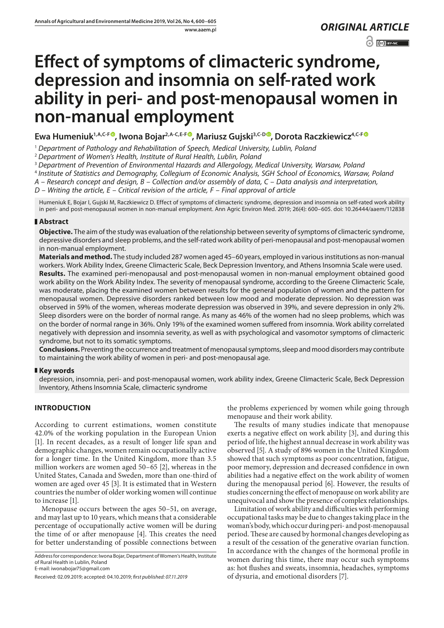www.aaem.pl *ORIGINAL [ARTICLE](https://creativecommons.org/licenses/by-nc/3.0/pl/deed.en)* 

 $\odot$   $\odot$  BY-NC

# **Effect of symptoms of climacteric syndrome, depression and insomnia on self-rated work ability in peri- and post-menopausal women in non-manual employment**

**Ewa Humeniuk1,A,C-F , Iwona Bojar2,A-C,E-F [,](https://orcid.org/0000-0002-3171-225X) Mariusz Gujski3,C-D [,](https://orcid.org/0000-0002-2938-4795) Dorota Raczkiewicz4,C-F**

<sup>1</sup> *Department of Pathology and Rehabilitation of Speech, Medical University, Lublin, Poland*

<sup>2</sup> *Department of Women's Health, Institute of Rural Health, Lublin, Poland*

<sup>3</sup> *Department of Prevention of Environmental Hazards and Allergology, Medical University, Warsaw, Poland*

<sup>4</sup> *Institute of Statistics and Demography, Collegium of Economic Analysis, SGH School of Economics, Warsaw, Poland*

*A – Research concept and design, B – Collection and/or assembly of data, C – Data analysis and interpretation,* 

*D – Writing the article, E – Critical revision of the article, F – Final approval of article*

Humeniuk E, Bojar I, Gujski M, Raczkiewicz D. Effect of symptoms of climacteric syndrome, depression and insomnia on self-rated work ability in peri- and post-menopausal women in non-manual employment. Ann Agric Environ Med. 2019; 26(4): 600–605. doi: 10.26444/aaem/112838

# **Abstract**

**Objective.** The aim of the study was evaluation of the relationship between severity of symptoms of climacteric syndrome, depressive disorders and sleep problems, and the self-rated work ability of peri-menopausal and post-menopausal women in non-manual employment.

**Materials and method.** The study included 287 women aged 45–60 years, employed in various institutions as non-manual workers. Work Ability Index, Greene Climacteric Scale, Beck Depression Inventory, and Athens Insomnia Scale were used. **Results.** The examined peri-menopausal and post-menopausal women in non-manual employment obtained good work ability on the Work Ability Index. The severity of menopausal syndrome, according to the Greene Climacteric Scale, was moderate, placing the examined women between results for the general population of women and the pattern for menopausal women. Depressive disorders ranked between low mood and moderate depression. No depression was observed in 59% of the women, whereas moderate depression was observed in 39%, and severe depression in only 2%. Sleep disorders were on the border of normal range. As many as 46% of the women had no sleep problems, which was on the border of normal range in 36%. Only 19% of the examined women suffered from insomnia. Work ability correlated negatively with depression and insomnia severity, as well as with psychological and vasomotor symptoms of climacteric syndrome, but not to its somatic symptoms.

**Conclusions.** Preventing the occurrence and treatment of menopausal symptoms, sleep and mood disorders may contribute to maintaining the work ability of women in peri- and post-menopausal age.

# **Key words**

depression, insomnia, peri- and post-menopausal women, work ability index, Greene Climacteric Scale, Beck Depression Inventory, Athens Insomnia Scale, climacteric syndrome

# **INTRODUCTION**

According to current estimations, women constitute 42.0% of the working population in the European Union [1]. In recent decades, as a result of longer life span and demographic changes, women remain occupationally active for a longer time. In the United Kingdom, more than 3.5 million workers are women aged 50–65 [2], whereas in the United States, Canada and Sweden, more than one-third of women are aged over 45 [3]. It is estimated that in Western countries the number of older working women will continue to increase [1].

Menopause occurs between the ages 50–51, on average, and may last up to 10 years, which means that a considerable percentage of occupationally active women will be during the time of or after menopause [4]. This creates the need for better understanding of possible connections between

Address for correspondence: Iwona Bojar, Department of Women's Health, Institute of Rural Health in Lublin, Poland E-mail: iwonabojar75@gmail.com

the problems experienced by women while going through menopause and their work ability.

The results of many studies indicate that menopause exerts a negative effect on work ability [3], and during this period of life, the highest annual decrease in work ability was observed [5]. A study of 896 women in the United Kingdom showed that such symptoms as poor concentration, fatigue, poor memory, depression and decreased confidence in own abilities had a negative effect on the work ability of women during the menopausal period [6]. However, the results of studies concerning the effect of menopause on work ability are unequivocal and show the presence of complex relationships.

Limitation of work ability and difficulties with performing occupational tasks may be due to changes taking place in the woman's body, which occur during peri- and post-menopausal period. These are caused by hormonal changes developing as a result of the cessation of the generative ovarian function. In accordance with the changes of the hormonal profile in women during this time, there may occur such symptoms as: hot flushes and sweats, insomnia, headaches, symptoms of dysuria, and emotional disorders [7].

Received: 02.09.2019; accepted: 04.10.2019; *first published: 07.11.2019*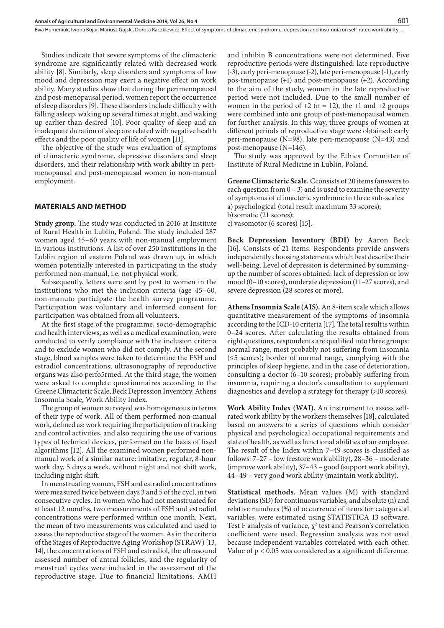Ewa Humeniuk, Iwona Bojar, Mariusz Gujski, Dorota Raczkiewicz . Effect of symptoms of climacteric syndrome, depression and insomnia on self-rated work ability…

Studies indicate that severe symptoms of the climacteric syndrome are significantly related with decreased work ability [8]. Similarly, sleep disorders and symptoms of low mood and depression may exert a negative effect on work ability. Many studies show that during the perimenopausal and post-menopausal period, women report the occurrence of sleep disorders [9]. These disorders include difficulty with falling asleep, waking up several times at night, and waking up earlier than desired [10]. Poor quality of sleep and an inadequate duration of sleep are related with negative health effects and the poor quality of life of women [11].

The objective of the study was evaluation of symptoms of climacteric syndrome, depressive disorders and sleep disorders, and their relationship with work ability in perimenopausal and post-menopausal women in non-manual employment.

## **MATERIALS AND METHOD**

**Study group.** The study was conducted in 2016 at Institute of Rural Health in Lublin, Poland. The study included 287 women aged 45–60 years with non-manual employment in various institutions. A list of over 250 institutions in the Lublin region of eastern Poland was drawn up, in which women potentially interested in participating in the study performed non-manual, i.e. not physical work.

Subsequently, letters were sent by post to women in the institutions who met the inclusion criteria (age 45–60, non-manuto participate the health survey programme. Participation was voluntary and informed consent for participation was obtained from all volunteers.

At the first stage of the programme, socio-demographic and health interviews, as well as a medical examination, were conducted to verify compliance with the inclusion criteria and to exclude women who did not comply. At the second stage, blood samples were taken to determine the FSH and estradiol concentrations; ultrasonography of reproductive organs was also perfo5rmed. At the third stage, the women were asked to complete questionnaires according to the Greene Climacteric Scale, Beck Depression Inventory, Athens Insomnia Scale, Work Ability Index.

The group of women surveyed was homogeneous in terms of their type of work. All of them performed non-manual work, defined as: work requiring the participation of tracking and control activities, and also requiring the use of various types of technical devices, performed on the basis of fixed algorithms [12]. All the examined women performed nonmanual work of a similar nature: imitative, regular, 8-hour work day, 5 days a week, without night and not shift work, including night shift.

In menstruating women, FSH and estradiol concentrations were measured twice between days 3 and 5 of the cycl, in two consecutive cycles. In women who had not menstruated for at least 12 months, two measurements of FSH and estradiol concentrations were performed within one month. Next, the mean of two measurements was calculated and used to assess the reproductive stage of the women. As in the criteria of the Stages of Reproductive Aging Workshop (STRAW) [13, 14], the concentrations of FSH and estradiol, the ultrasound assessed number of antral follicles, and the regularity of menstrual cycles were included in the assessment of the reproductive stage. Due to financial limitations, AMH

and inhibin B concentrations were not determined. Five reproductive periods were distinguished: late reproductive (-3), early peri-menopause (-2), late peri-menopause (-1), early pos-tmenopause (+1) and post-menopause (+2). According to the aim of the study, women in the late reproductive period were not included. Due to the small number of women in the period of  $+2$  (n = 12), the  $+1$  and  $+2$  groups were combined into one group of post-menopausal women for further analysis. In this way, three groups of women at different periods of reproductive stage were obtained: early peri-menopause (N=98), late peri-menopause (N=43) and post-menopause (N=146).

The study was approved by the Ethics Committee of Institute of Rural Medicine in Lublin, Poland.

**Greene Climacteric Scale.** Cconsists of 20 items (answers to each question from  $0 - 3$ ) and is used to examine the severity of symptoms of climacteric syndrome in three sub-scales: a) psychological (total result maximum 33 scores); b)somatic (21 scores); c) vasomotor (6 scores) [15].

**Beck Depression Inventory (BDI)** by Aaron Beck [16]. Consists of 21 items. Respondents provide answers independently choosing statements which best describe their well-being. Level of depression is determined by summingup the number of scores obtained: lack of depression or low mood (0–10 scores), moderate depression (11–27 scores), and severe depression (28 scores or more).

**Athens Insomnia Scale (AIS).** An 8-item scale which allows quantitative measurement of the symptoms of insomnia according to the ICD-10 criteria [17]*.* The total result is within 0–24 scores. After calculating the results obtained from eight questions, respondents are qualified into three groups: normal range, most probably not suffering from insomnia (≤5 scores); border of normal range, complying with the principles of sleep hygiene, and in the case of deterioration, consulting a doctor (6–10 scores); probably suffering from insomnia, requiring a doctor's consultation to supplement diagnostics and develop a strategy for therapy (>10 scores).

**Work Ability Index (WAI).** An instrument to assess selfrated work ability by the workers themselves [18], calculated based on answers to a series of questions which consider physical and psychological occupational requirements and state of health, as well as functional abilities of an employee. The result of the Index within 7–49 scores is classified as follows: 7–27 – low (restore work ability), 28–36 – moderate (improve work ability), 37–43 – good (support work ability), 44–49 – very good work ability (maintain work ability).

**Statistical methods.** Mean values (M) with standard deviations (SD) for continuous variables, and absolute (n) and relative numbers (%) of occurrence of items for categorical variables, were estimated using STATISTICA 13 software. Test F analysis of variance,  $\chi^2$  test and Pearson's correlation coefficient were used. Regression analysis was not used because independent variables correlated with each other. Value of p < 0.05 was considered as a significant difference.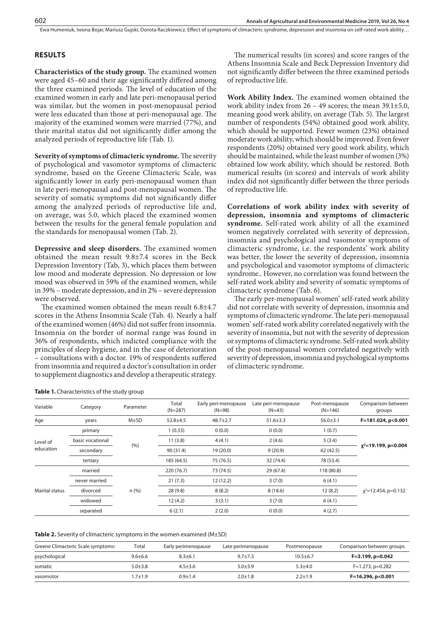Ewa Humeniuk, Iwona Bojar, Mariusz Gujski, Dorota Raczkiewicz . Effect of symptoms of climacteric syndrome, depression and insomnia on self-rated work ability…

## **RESULTS**

**Characteristics of the study group.** The examined women were aged 45–60 and their age significantly differed among the three examined periods. The level of education of the examined women in early and late peri-menopausal period was similar, but the women in post-menopausal period were less educated than those at peri-menopausal age. The majority of the examined women were married (77%), and their marital status did not significantly differ among the analyzed periods of reproductive life (Tab. 1).

**Severity of symptoms of climacteric syndrome.** The severity of psychological and vasomotor symptoms of climacteric syndrome, based on the Greene Climacteric Scale, was significantly lower in early peri-menopausal women than in late peri-menopausal and post-menopausal women. The severity of somatic symptoms did not significantly differ among the analyzed periods of reproductive life and, on average, was 5.0, which placed the examined women between the results for the general female population and the standards for menopausal women (Tab. 2).

**Depressive and sleep disorders.** The examined women obtained the mean result 9.8±7.4 scores in the Beck Depression Inventory (Tab, 3), which places them between low mood and moderate depression. No depression or low mood was observed in 59% of the examined women, while in 39% – moderate depression, and in 2% – severe depression were observed.

The examined women obtained the mean result 6.8±4.7 scores in the Athens Insomnia Scale (Tab. 4). Nearly a half of the examined women (46%) did not suffer from insomnia. Insomnia on the border of normal range was found in 36% of respondents, which indicted compliance with the principles of sleep hygiene, and in the case of deterioration – consultations with a doctor. 19% of respondents suffered from insomnia and required a doctor's consultation in order to supplement diagnostics and develop a therapeutic strategy.

The numerical results (in scores) and score ranges of the Athens Insomnia Scale and Beck Depression Inventory did not significantly differ between the three examined periods of reproductive life.

**Work Ability Index.** The examined women obtained the work ability index from 26 – 49 scores; the mean 39.1±5.0, meaning good work ability, on average (Tab. 5). The largest number of respondents (54%) obtained good work ability, which should be supported. Fewer women (23%) obtained moderate work ability, which should be improved. Even fewer respondents (20%) obtained very good work ability, which should be maintained, while the least number of women (3%) obtained low work ability, which should be restored. Both numerical results (in scores) and intervals of work ability index did not significantly differ between the three periods of reproductive life.

**Correlations of work ability index with severity of depression, insomnia and symptoms of climacteric syndrome.** Self-rated work ability of all the examined women negatively correlated with severity of depression, insomnia and psychological and vasomotor symptoms of climacteric syndrome, i.e. the respondents' work ability was better, the lower the severity of depression, insomnia and psychological and vasomotor symptoms of climacteric syndrome.. However, no correlation was found between the self-rated work ability and severity of somatic symptoms of climacteric syndrome (Tab. 6).

The early per-menopausal women' self-rated work ability did not correlate with severity of depression, insomnia and symptoms of climacteric syndrome. The late peri-menopausal women' self-rated work ability correlated negatively with the severity of insomnia, but not with the severity of depression or symptoms of climacteric syndrome. Self-rated work ability of the post-menopausal women correlated negatively with severity of depression, insomnia and psychological symptoms of climacteric syndrome.

| Table 1. Characteristics of the study group |  |  |  |
|---------------------------------------------|--|--|--|
|---------------------------------------------|--|--|--|

| Variable              | Category         | Parameter  | Total<br>$(N=287)$ | Early peri-menopause<br>$(N=98)$ | Late peri-menopause<br>$(N=43)$ | Post-menopause<br>$(N=146)$ | Comparison between<br>groups |
|-----------------------|------------------|------------|--------------------|----------------------------------|---------------------------------|-----------------------------|------------------------------|
| Age                   | years            | $M \pm SD$ | $52.8 + 4.5$       | $48.7 \pm 2.7$                   | $51.6 \pm 3.3$                  | $56.0 \pm 3.1$              | F=181.024, p<0.001           |
| Level of<br>education | primary          |            | 1(0.33)            | 0(0.0)                           | 0(0.0)                          | 1(0.7)                      |                              |
|                       | basic vocational |            | 11(3.8)            | 4(4.1)                           | 2(4.6)                          | 5(3.4)                      | $x^2$ =19.199, p=0.004       |
|                       | secondary        | (%)        | 90 (31.4)          | 19(20.0)                         | 9(20.9)                         | 62(42.5)                    |                              |
|                       | tertiary         |            | 185 (64.5)         | 75 (76.5)                        | 32 (74.4)                       | 78 (53.4)                   |                              |
| Marital status        | married          |            | 220 (76.7)         | 73 (74.5)                        | 29(67.4)                        | 118 (80.8)                  |                              |
|                       | never married    |            | 21(7.3)            | 12(12.2)                         | 3(7.0)                          | 6(4.1)                      |                              |
|                       | divorced         | $n$ (%)    | 28(9.8)            | 8(8.2)                           | 8(18.6)                         | 12(8.2)                     | $x^2$ =12.454, p=0.132       |
|                       | widowed          |            | 12(4.2)            | 3(3.1)                           | 3(7.0)                          | 6(4.1)                      |                              |
|                       | separated        |            | 6(2.1)             | 2(2.0)                           | 0(0.0)                          | 4(2.7)                      |                              |

| Greene Climacteric Scale symptoms:<br>Total |               | Early perimenopause | Late perimenopause | Postmenopause | Comparison between groups |  |
|---------------------------------------------|---------------|---------------------|--------------------|---------------|---------------------------|--|
| psychological                               | $9.6 \pm 6.6$ | $8.3 + 6.1$         | $9.7 + 7.3$        | $10.5 + 6.7$  | $F=3.199, p=0.042$        |  |
| somatic                                     | $5.0 + 3.8$   | $4.5 + 3.6$         | $5.0 + 3.9$        | $5.3 + 4.0$   | $F=1.273$ , p=0.282       |  |
| vasomotor                                   | $1.7 + 1.9$   | $0.9 + 1.4$         | $2.0 \pm 1.8$      | $2.2 + 1.9$   | $F=16.296, p<0.001$       |  |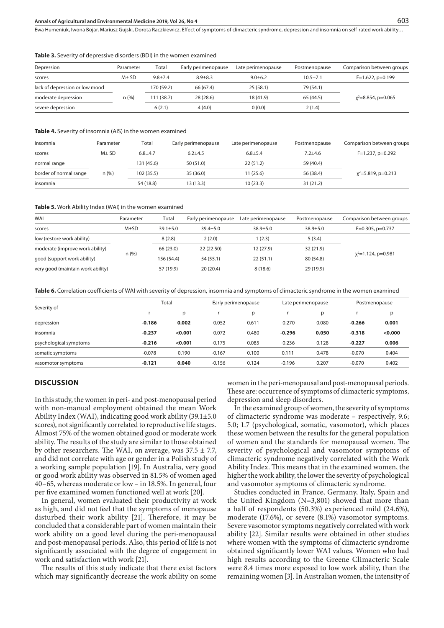## **Annals of Agricultural and Environmental Medicine 2019, Vol 26, No 4** 603

Ewa Humeniuk, Iwona Bojar, Mariusz Gujski, Dorota Raczkiewicz . Effect of symptoms of climacteric syndrome, depression and insomnia on self-rated work ability…

#### **Table 3.** Severity of depressive disorders (BDI) in the women examined

| Depression                     | Parameter  | Total       | Early perimenopause | Late perimenopause | Postmenopause | Comparison between groups |
|--------------------------------|------------|-------------|---------------------|--------------------|---------------|---------------------------|
| scores                         | $M \pm SD$ | $9.8 + 7.4$ | $8.9 + 8.3$         | $9.0 + 6.2$        | $10.5 + 7.1$  | $F=1.622$ , $p=0.199$     |
| lack of depression or low mood |            | 170 (59.2)  | 66 (67.4)           | 25(58.1)           | 79 (54.1)     |                           |
| moderate depression            | n(%)       | 111 (38.7)  | 28 (28.6)           | 18 (41.9)          | 65 (44.5)     | $x^2 = 8.854$ , p=0.065   |
| severe depression              |            | 6(2.1)      | 4(4.0)              | 0(0.0)             | 2(1.4)        |                           |

#### **Table 4.** Severity of insomnia (AIS) in the women examined

| Insomnia               | Total<br>Parameter |             | Early perimenopause | Late perimenopause | Postmenopause | Comparison between groups |  |
|------------------------|--------------------|-------------|---------------------|--------------------|---------------|---------------------------|--|
| scores                 | $M + SD$           | $6.8 + 4.7$ | $6.2 + 4.5$         | $6.8 + 5.4$        | $7.2 + 4.6$   | $F=1.237$ , p=0.292       |  |
| normal range           |                    | 131 (45.6)  | 50 (51.0)           | 22(51.2)           | 59 (40.4)     |                           |  |
| border of normal range | n (%)              | 102(35.5)   | 35 (36.0)           | 11 (25.6)          | 56 (38.4)     | $x^2$ =5.819, p=0.213     |  |
| insomnia               |                    | 54 (18.8)   | 13 (13.3)           | 10(23.3)           | 31(21.2)      |                           |  |

#### **Table 5.** Work Ability Index (WAI) in the women examined

| WAI                               | Parameter | Total        | Early perimenopause | Late perimenopause | Postmenopause | Comparison between groups |  |
|-----------------------------------|-----------|--------------|---------------------|--------------------|---------------|---------------------------|--|
| scores                            | $M\pm SD$ | $39.1 + 5.0$ | $39.4 + 5.0$        | $38.9 + 5.0$       | $38.9 + 5.0$  | $F=0.305$ , $p=0.737$     |  |
| low (restore work ability)        |           | 8(2.8)       | 2(2.0)              | 1(2.3)             | 5(3.4)        |                           |  |
| moderate (improve work ability)   |           | 66 (23.0)    | 22 (22.50)          | 12 (27.9)          | 32(21.9)      |                           |  |
| good (support work ability)       | n(%)      | 156 (54.4)   | 54 (55.1)           | 22(51.1)           | 80 (54.8)     | $x^2$ =1.124, p=0.981     |  |
| very good (maintain work ability) |           | 57 (19.9)    | 20(20.4)            | 8(18.6)            | 29 (19.9)     |                           |  |

**Table 6.** Correlation coefficients of WAI with severity of depression, insomnia and symptoms of climacteric syndrome in the women examined

| Severity of            |          | Total   |          | Early perimenopause |          | Late perimenopause |          | Postmenopause |  |
|------------------------|----------|---------|----------|---------------------|----------|--------------------|----------|---------------|--|
|                        |          | р       |          | p                   |          | p                  |          | р             |  |
| depression             | $-0.186$ | 0.002   | $-0.052$ | 0.611               | $-0.270$ | 0.080              | $-0.266$ | 0.001         |  |
| insomnia               | $-0.237$ | < 0.001 | $-0.072$ | 0.480               | $-0.296$ | 0.050              | $-0.318$ | < 0.000       |  |
| psychological symptoms | $-0.216$ | < 0.001 | $-0.175$ | 0.085               | $-0.236$ | 0.128              | $-0.227$ | 0.006         |  |
| somatic symptoms       | $-0.078$ | 0.190   | $-0.167$ | 0.100               | 0.111    | 0.478              | $-0.070$ | 0.404         |  |
| vasomotor symptoms     | $-0.121$ | 0.040   | $-0.156$ | 0.124               | $-0.196$ | 0.207              | $-0.070$ | 0.402         |  |

## **DISCUSSION**

In this study, the women in peri- and post-menopausal period with non-manual employment obtained the mean Work Ability Index (WAI), indicating good work ability (39.1±5.0 scores), not significantly correlated to reproductive life stages. Almost 75% of the women obtained good or moderate work ability. The results of the study are similar to those obtained by other researchers. The WAI, on average, was  $37.5 \pm 7.7$ , and did not correlate with age or gender in a Polish study of a working sample population [19]. In Australia, very good or good work ability was observed in 81.5% of women aged 40–65, whereas moderate or low – in 18.5%. In general, four per five examined women functioned well at work [20].

In general, women evaluated their productivity at work as high, and did not feel that the symptoms of menopause disturbed their work ability [21]. Therefore, it may be concluded that a considerable part of women maintain their work ability on a good level during the peri-menopausal and post-menopausal periods. Also, this period of life is not significantly associated with the degree of engagement in work and satisfaction with work [21].

The results of this study indicate that there exist factors which may significantly decrease the work ability on some women in the peri-menopausal and post-menopausal periods. These are: occurrence of symptoms of climacteric symptoms, depression and sleep disorders.

In the examined group of women, the severity of symptoms of climacteric syndrome was moderate – respectively, 9.6; 5.0; 1.7 (psychological, somatic, vasomotor), which places these women between the results for the general population of women and the standards for menopausal women. The severity of psychological and vasomotor symptoms of climacteric syndrome negatively correlated with the Work Ability Index. This means that in the examined women, the higher the work ability, the lower the severity of psychological and vasomotor symptoms of climacteric syndrome.

Studies conducted in France, Germany, Italy, Spain and the United Kingdom (N=3,801) showed that more than a half of respondents (50.3%) experienced mild (24.6%), moderate (17.6%), or severe (8.1%) vasomotor symptoms. Severe vasomotor symptoms negatively correlated with work ability [22]. Similar results were obtained in other studies where women with the symptoms of climacteric syndrome obtained significantly lower WAI values. Women who had high results according to the Greene Climacteric Scale were 8.4 times more exposed to low work ability, than the remaining women [3]. In Australian women, the intensity of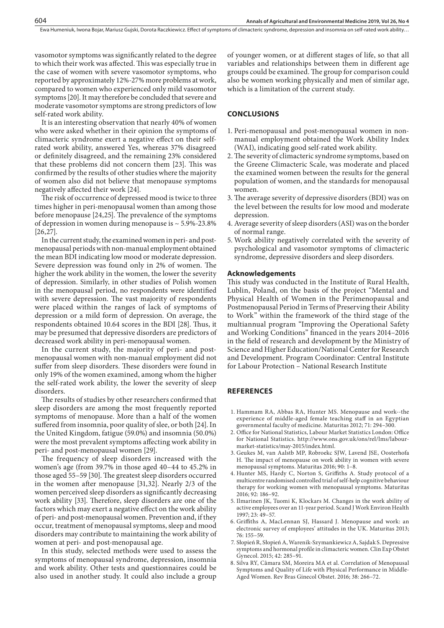vasomotor symptoms was significantly related to the degree to which their work was affected. This was especially true in the case of women with severe vasomotor symptoms, who reported by approximately 12%-27% more problems at work, compared to women who experienced only mild vasomotor symptoms[20]. It may therefore be concluded that severe and moderate vasomotor symptoms are strong predictors of low self-rated work ability.

It is an interesting observation that nearly 40% of women who were asked whether in their opinion the symptoms of climacteric syndrome exert a negative effect on their selfrated work ability, answered Yes, whereas 37% disagreed or definitely disagreed, and the remaining 23% considered that these problems did not concern them [23]. This was confirmed by the results of other studies where the majority of women also did not believe that menopause symptoms negatively affected their work [24].

The risk of occurrence of depressed mood is twice to three times higher in peri-menopausal women than among those before menopause [24,25]. The prevalence of the symptoms of depression in women during menopause is  $\sim$  5.9%-23.8% [26,27].

In the current study, the examined women in peri- and postmenopausal periods with non-manual employment obtained the mean BDI indicating low mood or moderate depression. Severe depression was found only in 2% of women. The higher the work ability in the women, the lower the severity of depression. Similarly, in other studies of Polish women in the menopausal period, no respondents were identified with severe depression. The vast majority of respondents were placed within the ranges of lack of symptoms of depression or a mild form of depression. On average, the respondents obtained 10.64 scores in the BDI [28]. Thus, it may be presumed that depressive disorders are predictors of decreased work ability in peri-menopausal women.

In the current study, the majority of peri- and postmenopausal women with non-manual employment did not suffer from sleep disorders. These disorders were found in only 19% of the women examined, among whom the higher the self-rated work ability, the lower the severity of sleep disorders.

The results of studies by other researchers confirmed that sleep disorders are among the most frequently reported symptoms of menopause. More than a half of the women suffered from insomnia, poor quality of slee, or both [24]. In the United Kingdom, fatigue (59.0%) and insomnia (50.0%) were the most prevalent symptoms affecting work ability in peri- and post-menopausal women [29].

The frequency of sleep disorders increased with the women's age (from 39.7% in those aged 40–44 to 45.2% in those aged 55–59 [30]. The greatest sleep disorders occurred in the women after menopause [31,32]. Nearly 2/3 of the women perceived sleep disorders as significantly decreasing work ability [33]. Therefore, sleep disorders are one of the factors which may exert a negative effect on the work ability of peri- and post-menopausal women. Prevention and, if they occur, treatment of menopausal symptoms, sleep and mood disorders may contribute to maintaining the work ability of women at peri- and post-menopausal age.

In this study, selected methods were used to assess the symptoms of menopausal syndrome, depression, insomnia and work ability. Other tests and questionnaires could be also used in another study. It could also include a group

of younger women, or at different stages of life, so that all variables and relationships between them in different age groups could be examined. The group for comparison could also be women working physically and men of similar age, which is a limitation of the current study.

# **CONCLUSIONS**

- 1. Peri-menopausal and post-menopausal women in nonmanual employment obtained the Work Ability Index (WAI), indicating good self-rated work ability.
- 2.The severity of climacteric syndrome symptoms, based on the Greene Climacteric Scale, was moderate and placed the examined women between the results for the general population of women, and the standards for menopausal women.
- 3. The average severity of depressive disorders (BDI) was on the level between the results for low mood and moderate depression.
- 4. Average severity of sleep disorders (ASI) was on the border of normal range.
- 5. Work ability negatively correlated with the severity of psychological and vasomotor symptoms of climacteric syndrome, depressive disorders and sleep disorders.

### **Acknowledgements**

This study was conducted in the Institute of Rural Health, Lublin, Poland, on the basis of the project "Mental and Physical Health of Women in the Perimenopausal and Postmenopausal Period in Terms of Preserving their Ability to Work" within the framework of the third stage of the multiannual program "Improving the Operational Safety and Working Conditions" financed in the years 2014–2016 in the field of research and development by the Ministry of Science and Higher Education/National Center for Research and Development. Program Coordinator: Central Institute for Labour Protection – National Research Institute

# **REFERENCES**

- 1. Hammam RA, Abbas RA, Hunter MS. Menopause and work--the experience of middle-aged female teaching staff in an Egyptian governmental faculty of medicine. Maturitas 2012; 71: 294–300.
- 2. Office for National Statistics, Labour Market Statistics London: Office for National Statistics. http://www.ons.gov.uk/ons/rel/lms/labourmarket-statistics/may-2015/index.html.
- 3. Geukes M, van Aalstb MP, Robroekc SJW, Lavend JSE, Oosterhofa H. The impact of menopause on work ability in women with severe menopausal symptoms. Maturitas 2016; 90: 1–8.
- 4. Hunter MS, Hardy C, Norton S, Griffiths A. Study protocol of a multicentre randomised controlled trial of self-help cognitive behaviour therapy for working women with menopausal symptoms. Maturitas 2016; 92: 186–92.
- 5. Ilmarinen JK, Tuomi K, Klockars M. Changes in the work ability of active employees over an 11-year period. Scand J Work Environ Health 1997; 23: 49–57.
- 6. Griffiths A, MacLennan SJ, Hassard J. Menopause and work: an electronic survey of employees' attitudes in the UK. Maturitas 2013; 76: 155–59.
- 7. Słopień R, Słopień A, Warenik-Szymankiewicz A, Sajdak S. Depressive symptoms and hormonal profile in climacteric women. Clin Exp Obstet Gynecol. 2015; 42: 285–91.
- 8. Silva RY, Câmara SM, Moreira MA et al. Correlation of Menopausal Symptoms and Quality of Life with Physical Performance in Middle-Aged Women. Rev Bras Ginecol Obstet. 2016; 38: 266–72.